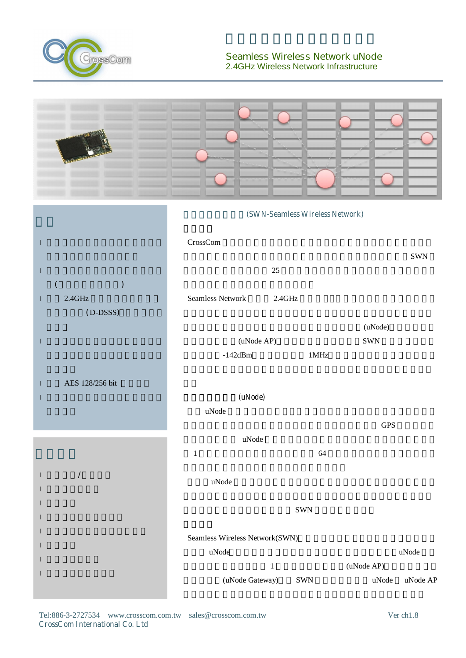

## **Seamless Wireless Network uNode** 2.4GHz Wireless Network Infrastructure

|                                          | (SWN-Seamless Wireless Network)                                 |                   |                                                                   |  |
|------------------------------------------|-----------------------------------------------------------------|-------------------|-------------------------------------------------------------------|--|
| ı                                        | CrossCom                                                        |                   | <b>SWN</b>                                                        |  |
| $\mathsf{l}$                             |                                                                 | $25\,$            |                                                                   |  |
| $2.4\mbox{GHz}$<br>T<br>(D-DSSS)         | <b>Seamless Network</b>                                         | $2.4\mathrm{GHz}$ |                                                                   |  |
|                                          |                                                                 |                   | (uNode)                                                           |  |
| $\mathsf I$                              | (uNode AP)<br>$-142$ d $Bm$                                     | 1MHz              | <b>SWN</b>                                                        |  |
| AES 128/256 bit<br>$\mathbf{I}$          |                                                                 |                   |                                                                   |  |
|                                          | (uNode)                                                         |                   |                                                                   |  |
|                                          | uNode                                                           |                   | <b>GPS</b>                                                        |  |
|                                          | uNode                                                           |                   |                                                                   |  |
|                                          | $\,1\,$                                                         | 64                |                                                                   |  |
| $\overline{\phantom{a}}$<br>$\mathsf{I}$ | $\ensuremath{\mathsf{uNode}}$                                   |                   |                                                                   |  |
|                                          |                                                                 | SWN               |                                                                   |  |
|                                          |                                                                 |                   |                                                                   |  |
|                                          | Seamless Wireless Network(SWN)<br>$\ensuremath{\mathsf{uNode}}$ |                   | $\ensuremath{\mathsf{uNode}}$                                     |  |
|                                          |                                                                 | $\,1\,$           | (uNode AP)                                                        |  |
|                                          | (uNode Gateway)                                                 | SWN               | $\ensuremath{\mathsf{uNode}}$<br>$\ensuremath{\mathsf{uNode}}$ AP |  |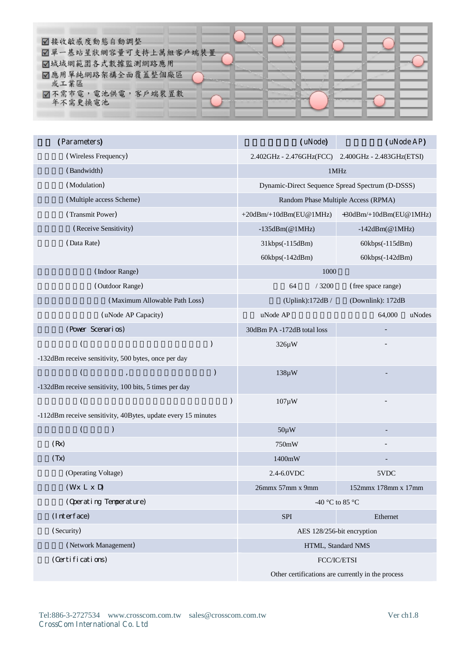| ☑接收敏感度動態自動調整<br>☑單一基站星狀網容量可支持上萬組客戶端裝置         |  |  |
|-----------------------------------------------|--|--|
| ☑城域網範圍各式數據監測網路應用<br>☑應用單純網路架構全面覆蓋整個廠區<br>或工業區 |  |  |
| 7不需市電,電池供電,客戶端裝置數<br>年不需更換電池                  |  |  |

| (Parameters)                                                  |   | (uNode)                          | (uNode AP)                                         |  |  |
|---------------------------------------------------------------|---|----------------------------------|----------------------------------------------------|--|--|
| (Wireless Frequency)                                          |   |                                  | 2.402GHz - 2.476GHz(FCC) 2.400GHz - 2.483GHz(ETSI) |  |  |
| (Bandwidth)                                                   |   | $1\mathrm{MHz}$                  |                                                    |  |  |
| (Modulation)                                                  |   |                                  | Dynamic-Direct Sequence Spread Spectrum (D-DSSS)   |  |  |
| (Multiple access Scheme)                                      |   |                                  | Random Phase Multiple Access (RPMA)                |  |  |
| (Transmit Power)                                              |   | $+20$ dBm $/+10$ dBm $(EU@1MHz)$ | +30dBm/+10dBm(EU@1MHz)                             |  |  |
| (Receive Sensitivity)                                         |   | $-135$ dBm( $@1$ MHz)            | $-142$ dBm( $@1$ MHz)                              |  |  |
| (Data Rate)                                                   |   | 31kbps(-115dBm)                  | 60kbps(-115dBm)                                    |  |  |
|                                                               |   | 60kbps(-142dBm)                  | 60kbps(-142dBm)                                    |  |  |
| (Indoor Range)                                                |   | 1000                             |                                                    |  |  |
| (Outdoor Range)                                               |   | 64<br>/3200                      | (free space range)                                 |  |  |
| (Maximum Allowable Path Loss)                                 |   | (Uplink):172dB /                 | (Downlink): 172dB                                  |  |  |
| (uNode AP Capacity)                                           |   | uNode AP                         | uNodes<br>64,000                                   |  |  |
| (Pover Scenarios)                                             |   | 30dBm PA -172dB total loss       |                                                    |  |  |
|                                                               |   | 326µW                            |                                                    |  |  |
| -132dBm receive sensitivity, 500 bytes, once per day          |   |                                  |                                                    |  |  |
|                                                               |   | $138\mu W$                       |                                                    |  |  |
| -132dBm receive sensitivity, 100 bits, 5 times per day        |   |                                  |                                                    |  |  |
|                                                               | J | $107 \mu W$                      |                                                    |  |  |
| -112dBm receive sensitivity, 40Bytes, update every 15 minutes |   |                                  |                                                    |  |  |
| $\mathcal{C}$<br>(                                            |   | $50\mu W$                        |                                                    |  |  |
| (Rx)                                                          |   | 750mW                            |                                                    |  |  |
| (Tx)                                                          |   | 1400mW                           |                                                    |  |  |
| (Operating Voltage)                                           |   | 2.4-6.0VDC                       | 5VDC                                               |  |  |
| (Wx L x D)                                                    |   | 26mmx 57mm x 9mm                 | 152mmx 178mm x 17mm                                |  |  |
| (Operating Temperature)                                       |   |                                  | -40 °C to 85 °C                                    |  |  |
| (Interface)                                                   |   | <b>SPI</b>                       | Ethernet                                           |  |  |
| (Security)                                                    |   | AES 128/256-bit encryption       |                                                    |  |  |
| (Network Management)                                          |   |                                  | HTML, Standard NMS                                 |  |  |
| (Certifications)                                              |   |                                  | FCC/IC/ETSI                                        |  |  |
|                                                               |   |                                  | Other certifications are currently in the process  |  |  |